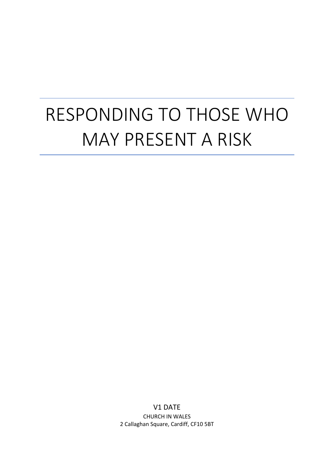# RESPONDING TO THOSE WHO MAY PRESENT A RISK

V1 DATE CHURCH IN WALES 2 Callaghan Square, Cardiff, CF10 5BT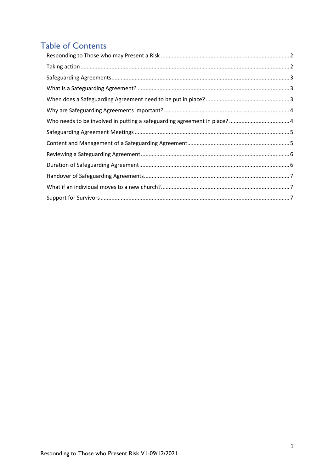# **Table of Contents**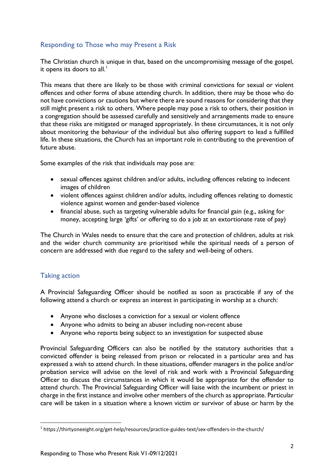# <span id="page-2-0"></span>Responding to Those who may Present a Risk

The Christian church is unique in that, based on the uncompromising message of the gospel, it opens its doors to all.<sup>1</sup>

This means that there are likely to be those with criminal convictions for sexual or violent offences and other forms of abuse attending church. In addition, there may be those who do not have convictions or cautions but where there are sound reasons for considering that they still might present a risk to others. Where people may pose a risk to others, their position in a congregation should be assessed carefully and sensitively and arrangements made to ensure that these risks are mitigated or managed appropriately. In these circumstances, it is not only about monitoring the behaviour of the individual but also offering support to lead a fulfilled life. In these situations, the Church has an important role in contributing to the prevention of future abuse.

Some examples of the risk that individuals may pose are:

- sexual offences against children and/or adults, including offences relating to indecent images of children
- violent offences against children and/or adults, including offences relating to domestic violence against women and gender-based violence
- financial abuse, such as targeting vulnerable adults for financial gain (e.g., asking for money, accepting large 'gifts' or offering to do a job at an extortionate rate of pay)

The Church in Wales needs to ensure that the care and protection of children, adults at risk and the wider church community are prioritised while the spiritual needs of a person of concern are addressed with due regard to the safety and well-being of others.

# <span id="page-2-1"></span>Taking action

A Provincial Safeguarding Officer should be notified as soon as practicable if any of the following attend a church or express an interest in participating in worship at a church:

- Anyone who discloses a conviction for a sexual or violent offence
- Anyone who admits to being an abuser including non-recent abuse
- Anyone who reports being subject to an investigation for suspected abuse

Provincial Safeguarding Officers can also be notified by the statutory authorities that a convicted offender is being released from prison or relocated in a particular area and has expressed a wish to attend church. In these situations, offender managers in the police and/or probation service will advise on the level of risk and work with a Provincial Safeguarding Officer to discuss the circumstances in which it would be appropriate for the offender to attend church. The Provincial Safeguarding Officer will liaise with the incumbent or priest in charge in the first instance and involve other members of the church as appropriate. Particular care will be taken in a situation where a known victim or survivor of abuse or harm by the

<span id="page-2-2"></span><sup>1</sup> https://thirtyoneeight.org/get-help/resources/practice-guides-text/sex-offenders-in-the-church/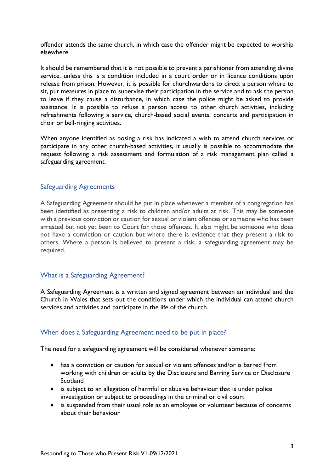offender attends the same church, in which case the offender might be expected to worship elsewhere.

It should be remembered that it is not possible to prevent a parishioner from attending divine service, unless this is a condition included in a court order or in licence conditions upon release from prison. However, it is possible for churchwardens to direct a person where to sit, put measures in place to supervise their participation in the service and to ask the person to leave if they cause a disturbance, in which case the police might be asked to provide assistance. It is possible to refuse a person access to other church activities, including refreshments following a service, church-based social events, concerts and participation in choir or bell-ringing activities.

When anyone identified as posing a risk has indicated a wish to attend church services or participate in any other church-based activities, it usually is possible to accommodate the request following a risk assessment and formulation of a risk management plan called a safeguarding agreement.

#### <span id="page-3-0"></span>Safeguarding Agreements

A Safeguarding Agreement should be put in place whenever a member of a congregation has been identified as presenting a risk to children and/or adults at risk. This may be someone with a previous conviction or caution for sexual or violent offences or someone who has been arrested but not yet been to Court for those offences. It also might be someone who does not have a conviction or caution but where there is evidence that they present a risk to others. Where a person is believed to present a risk, a safeguarding agreement may be required.

#### <span id="page-3-1"></span>What is a Safeguarding Agreement?

A Safeguarding Agreement is a written and signed agreement between an individual and the Church in Wales that sets out the conditions under which the individual can attend church services and activities and participate in the life of the church.

# <span id="page-3-2"></span>When does a Safeguarding Agreement need to be put in place?

The need for a safeguarding agreement will be considered whenever someone:

- has a conviction or caution for sexual or violent offences and/or is barred from working with children or adults by the Disclosure and Barring Service or Disclosure **Scotland**
- is subject to an allegation of harmful or abusive behaviour that is under police investigation or subject to proceedings in the criminal or civil court
- is suspended from their usual role as an employee or volunteer because of concerns about their behaviour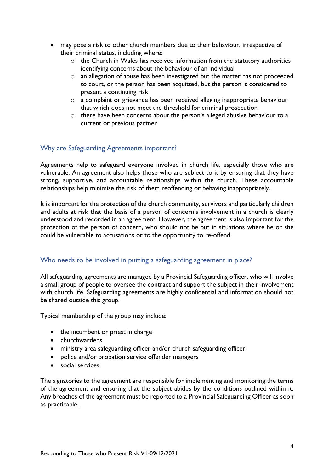- may pose a risk to other church members due to their behaviour, irrespective of their criminal status, including where:
	- $\circ$  the Church in Wales has received information from the statutory authorities identifying concerns about the behaviour of an individual
	- o an allegation of abuse has been investigated but the matter has not proceeded to court, or the person has been acquitted, but the person is considered to present a continuing risk
	- o a complaint or grievance has been received alleging inappropriate behaviour that which does not meet the threshold for criminal prosecution
	- o there have been concerns about the person's alleged abusive behaviour to a current or previous partner

## <span id="page-4-0"></span>Why are Safeguarding Agreements important?

Agreements help to safeguard everyone involved in church life, especially those who are vulnerable. An agreement also helps those who are subject to it by ensuring that they have strong, supportive, and accountable relationships within the church. These accountable relationships help minimise the risk of them reoffending or behaving inappropriately.

It is important for the protection of the church community, survivors and particularly children and adults at risk that the basis of a person of concern's involvement in a church is clearly understood and recorded in an agreement. However, the agreement is also important for the protection of the person of concern, who should not be put in situations where he or she could be vulnerable to accusations or to the opportunity to re-offend.

#### <span id="page-4-1"></span>Who needs to be involved in putting a safeguarding agreement in place?

All safeguarding agreements are managed by a Provincial Safeguarding officer, who will involve a small group of people to oversee the contract and support the subject in their involvement with church life. Safeguarding agreements are highly confidential and information should not be shared outside this group.

Typical membership of the group may include:

- the incumbent or priest in charge
- churchwardens
- ministry area safeguarding officer and/or church safeguarding officer
- police and/or probation service offender managers
- social services

The signatories to the agreement are responsible for implementing and monitoring the terms of the agreement and ensuring that the subject abides by the conditions outlined within it. Any breaches of the agreement must be reported to a Provincial Safeguarding Officer as soon as practicable.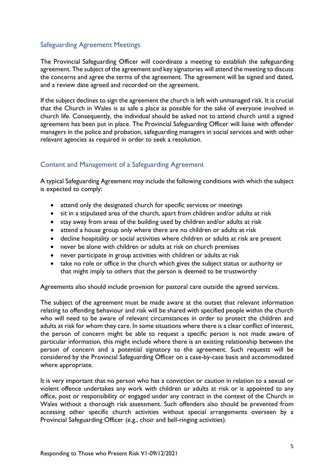## <span id="page-5-0"></span>Safeguarding Agreement Meetings

The Provincial Safeguarding Officer will coordinate a meeting to establish the safeguarding agreement. The subject of the agreement and key signatories will attend the meeting to discuss the concerns and agree the terms of the agreement. The agreement will be signed and dated, and a review date agreed and recorded on the agreement.

If the subject declines to sign the agreement the church is left with unmanaged risk. It is crucial that the Church in Wales is as safe a place as possible for the sake of everyone involved in church life. Consequently, the individual should be asked not to attend church until a signed agreement has been put in place. The Provincial Safeguarding Officer will liaise with offender managers in the police and probation, safeguarding managers in social services and with other relevant agencies as required in order to seek a resolution.

# <span id="page-5-1"></span>Content and Management of a Safeguarding Agreement

A typical Safeguarding Agreement may include the following conditions with which the subject is expected to comply:

- attend only the designated church for specific services or meetings
- sit in a stipulated area of the church, apart from children and/or adults at risk
- stay away from areas of the building used by children and/or adults at risk
- attend a house group only where there are no children or adults at risk
- decline hospitality or social activities where children or adults at risk are present
- never be alone with children or adults at risk on church premises
- never participate in group activities with children or adults at risk
- take no role or office in the church which gives the subject status or authority or that might imply to others that the person is deemed to be trustworthy

Agreements also should include provision for pastoral care outside the agreed services.

The subject of the agreement must be made aware at the outset that relevant information relating to offending behaviour and risk will be shared with specified people within the church who will need to be aware of relevant circumstances in order to protect the children and adults at risk for whom they care. In some situations where there is a clear conflict of interest, the person of concern might be able to request a specific person is not made aware of particular information, this might include where there is an existing relationship between the person of concern and a potential signatory to the agreement. Such requests will be considered by the Provincial Safeguarding Officer on a case-by-case basis and accommodated where appropriate.

It is very important that no person who has a conviction or caution in relation to a sexual or violent offence undertakes any work with children or adults at risk or is appointed to any office, post or responsibility or engaged under any contract in the context of the Church in Wales without a thorough risk assessment. Such offenders also should be prevented from accessing other specific church activities without special arrangements overseen by a Provincial Safeguarding Officer (e.g., choir and bell-ringing activities).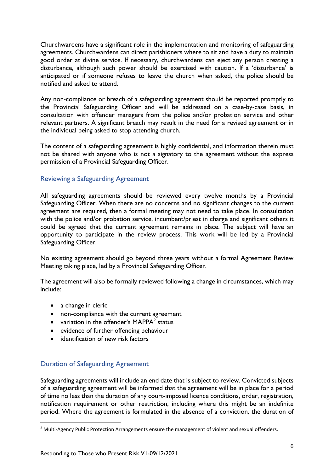Churchwardens have a significant role in the implementation and monitoring of safeguarding agreements. Churchwardens can direct parishioners where to sit and have a duty to maintain good order at divine service. If necessary, churchwardens can eject any person creating a disturbance, although such power should be exercised with caution. If a 'disturbance' is anticipated or if someone refuses to leave the church when asked, the police should be notified and asked to attend.

Any non-compliance or breach of a safeguarding agreement should be reported promptly to the Provincial Safeguarding Officer and will be addressed on a case-by-case basis, in consultation with offender managers from the police and/or probation service and other relevant partners. A significant breach may result in the need for a revised agreement or in the individual being asked to stop attending church.

The content of a safeguarding agreement is highly confidential, and information therein must not be shared with anyone who is not a signatory to the agreement without the express permission of a Provincial Safeguarding Officer.

## <span id="page-6-0"></span>Reviewing a Safeguarding Agreement

All safeguarding agreements should be reviewed every twelve months by a Provincial Safeguarding Officer. When there are no concerns and no significant changes to the current agreement are required, then a formal meeting may not need to take place. In consultation with the police and/or probation service, incumbent/priest in charge and significant others it could be agreed that the current agreement remains in place. The subject will have an opportunity to participate in the review process. This work will be led by a Provincial Safeguarding Officer.

No existing agreement should go beyond three years without a formal Agreement Review Meeting taking place, led by a Provincial Safeguarding Officer.

The agreement will also be formally reviewed following a change in circumstances, which may include:

- a change in cleric
- non-compliance with the current agreement
- variation in the offender's MAPPA $2$  status
- evidence of further offending behaviour
- identification of new risk factors

# <span id="page-6-1"></span>Duration of Safeguarding Agreement

Safeguarding agreements will include an end date that is subject to review. Convicted subjects of a safeguarding agreement will be informed that the agreement will be in place for a period of time no less than the duration of any court-imposed licence conditions, order, registration, notification requirement or other restriction, including where this might be an indefinite period. Where the agreement is formulated in the absence of a conviction, the duration of

<span id="page-6-2"></span> $<sup>2</sup>$  Multi-Agency Public Protection Arrangements ensure the management of violent and sexual offenders.</sup>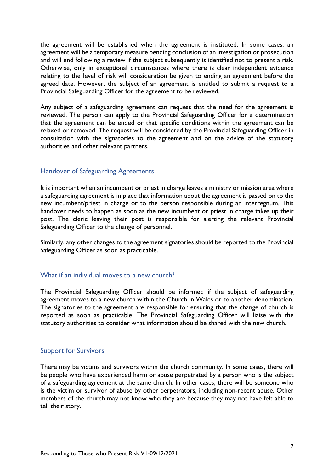the agreement will be established when the agreement is instituted. In some cases, an agreement will be a temporary measure pending conclusion of an investigation or prosecution and will end following a review if the subject subsequently is identified not to present a risk. Otherwise, only in exceptional circumstances where there is clear independent evidence relating to the level of risk will consideration be given to ending an agreement before the agreed date. However, the subject of an agreement is entitled to submit a request to a Provincial Safeguarding Officer for the agreement to be reviewed.

Any subject of a safeguarding agreement can request that the need for the agreement is reviewed. The person can apply to the Provincial Safeguarding Officer for a determination that the agreement can be ended or that specific conditions within the agreement can be relaxed or removed. The request will be considered by the Provincial Safeguarding Officer in consultation with the signatories to the agreement and on the advice of the statutory authorities and other relevant partners.

#### <span id="page-7-0"></span>Handover of Safeguarding Agreements

It is important when an incumbent or priest in charge leaves a ministry or mission area where a safeguarding agreement is in place that information about the agreement is passed on to the new incumbent/priest in charge or to the person responsible during an interregnum. This handover needs to happen as soon as the new incumbent or priest in charge takes up their post. The cleric leaving their post is responsible for alerting the relevant Provincial Safeguarding Officer to the change of personnel.

Similarly, any other changes to the agreement signatories should be reported to the Provincial Safeguarding Officer as soon as practicable.

#### <span id="page-7-1"></span>What if an individual moves to a new church?

The Provincial Safeguarding Officer should be informed if the subject of safeguarding agreement moves to a new church within the Church in Wales or to another denomination. The signatories to the agreement are responsible for ensuring that the change of church is reported as soon as practicable. The Provincial Safeguarding Officer will liaise with the statutory authorities to consider what information should be shared with the new church.

#### <span id="page-7-2"></span>Support for Survivors

There may be victims and survivors within the church community. In some cases, there will be people who have experienced harm or abuse perpetrated by a person who is the subject of a safeguarding agreement at the same church. In other cases, there will be someone who is the victim or survivor of abuse by other perpetrators, including non-recent abuse. Other members of the church may not know who they are because they may not have felt able to tell their story.